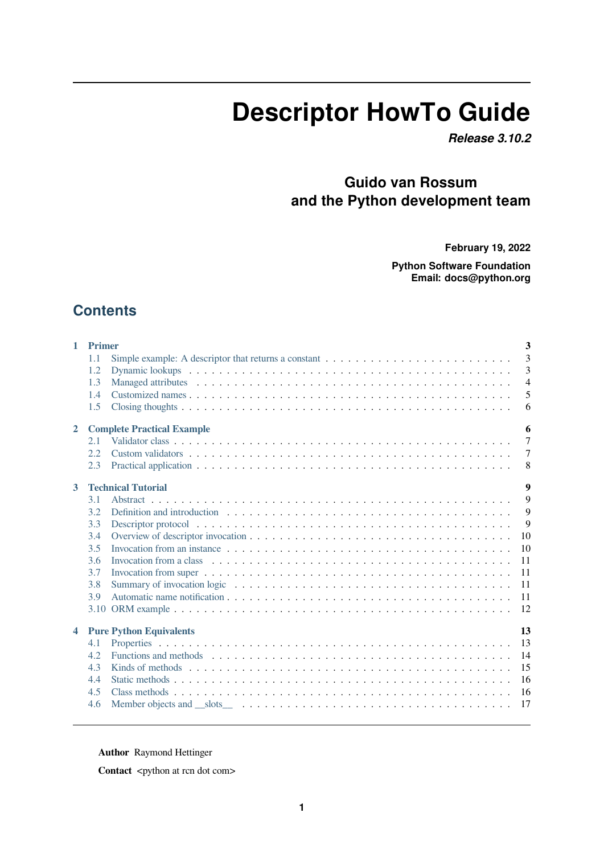# **Descriptor HowTo Guide**

*Release 3.10.2*

# **Guido van Rossum and the Python development team**

**February 19, 2022**

**Python Software Foundation Email: docs@python.org**

# **Contents**

| $\mathbf{1}$            | <b>Primer</b><br>1.1<br>1.2<br>1.3<br>1.4<br>1.5 |                                                                                                                                                                                                                               | 3<br>3<br>3<br>$\overline{4}$<br>5<br>6 |
|-------------------------|--------------------------------------------------|-------------------------------------------------------------------------------------------------------------------------------------------------------------------------------------------------------------------------------|-----------------------------------------|
| $\overline{2}$          |                                                  | <b>Complete Practical Example</b>                                                                                                                                                                                             | 6                                       |
|                         | 2.1<br>2.2<br>2.3                                |                                                                                                                                                                                                                               | $\overline{7}$<br>$\tau$<br>8           |
| 3                       |                                                  | <b>Technical Tutorial</b>                                                                                                                                                                                                     | $\boldsymbol{9}$                        |
|                         | 3.1                                              |                                                                                                                                                                                                                               | 9                                       |
|                         | 3.2                                              | Definition and introduction enterprise in the context of the context of the context of the context of the context of the context of the context of the context of the context of the context of the context of the context of | 9                                       |
|                         | 3.3                                              |                                                                                                                                                                                                                               | 9                                       |
|                         | 3.4<br>3.5                                       | Invocation from an instance $\dots \dots \dots \dots \dots \dots \dots \dots \dots \dots \dots \dots \dots \dots \dots \dots \dots$                                                                                           | 10<br>10                                |
|                         | 3.6                                              |                                                                                                                                                                                                                               | 11                                      |
|                         | 3.7                                              | Invocation from super $\dots \dots \dots \dots \dots \dots \dots \dots \dots \dots \dots \dots \dots \dots \dots \dots \dots$                                                                                                 | 11                                      |
|                         | 3.8                                              |                                                                                                                                                                                                                               | 11                                      |
|                         | 3.9                                              |                                                                                                                                                                                                                               | 11                                      |
|                         |                                                  |                                                                                                                                                                                                                               | 12                                      |
| $\overline{\mathbf{4}}$ |                                                  | <b>Pure Python Equivalents</b>                                                                                                                                                                                                | 13                                      |
|                         | 4.1                                              |                                                                                                                                                                                                                               | 13                                      |
|                         | 4.2                                              |                                                                                                                                                                                                                               | 14                                      |
|                         | 4.3                                              |                                                                                                                                                                                                                               | 15                                      |
|                         | 4.4                                              |                                                                                                                                                                                                                               | 16                                      |
|                         | 4.5<br>4.6                                       |                                                                                                                                                                                                                               | 16<br>17                                |

**Author** [Raymond Hettinger](#page-16-0)

**Contact** <python at rcn dot com>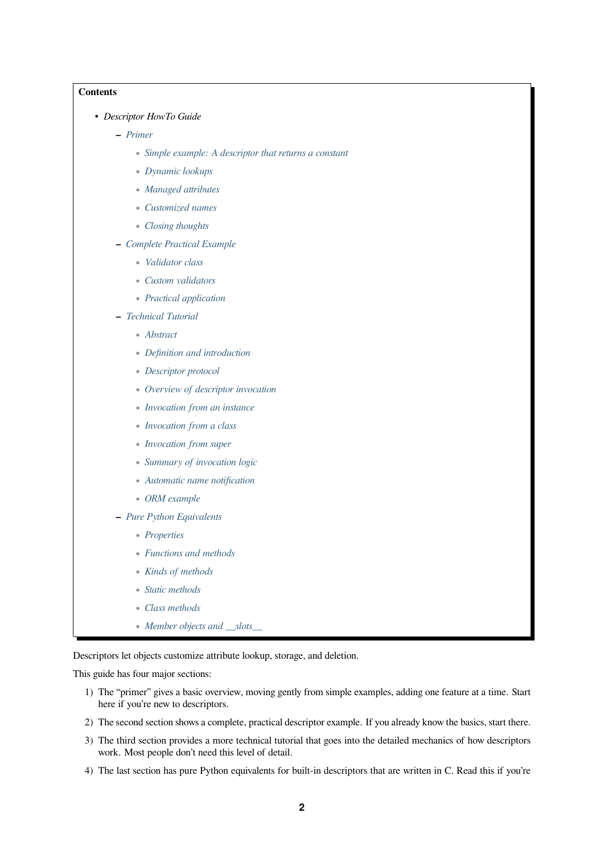#### **Contents**

- *Descriptor HowTo Guide*
	- **–** *Primer*
		- ∗ *Simple example: A descriptor that returns a constant*
		- ∗ *Dynamic lookups*
		- ∗ *[Ma](#page-2-0)naged attributes*
		- ∗ *[Customized names](#page-2-1)*
		- ∗ *[Closing thoughts](#page-2-2)*
	- **–** *Com[plete Practical Exam](#page-3-0)ple*
		- ∗ *[Validator class](#page-4-0)*
		- ∗ *[Custom validator](#page-5-0)s*
		- ∗ *[Practical application](#page-5-1)*
	- **–** *Tech[nical Tutorial](#page-6-0)*
		- ∗ *[Abstract](#page-6-1)*
		- ∗ *[Definition and introd](#page-7-0)uction*
		- ∗ *[Descriptor pro](#page-8-0)tocol*
		- ∗ *[Overview](#page-8-1) of descriptor invocation*
		- ∗ *[Invocation from an instance](#page-8-2)*
		- ∗ *[Invocation from a c](#page-8-3)lass*
		- ∗ *[Invocation from super](#page-9-0)*
		- ∗ *[Summary of invocation logic](#page-9-1)*
		- ∗ *[Automatic name notifica](#page-10-0)tion*
		- ∗ *[ORM example](#page-10-1)*
	- **–** *Pure [Python Equivalents](#page-10-2)*
		- ∗ *[Properties](#page-10-3)*
		- ∗ *[Functions and](#page-11-0) methods*
		- ∗ *[Kinds of methods](#page-12-0)*
		- ∗ *[Static meth](#page-12-1)ods*
		- ∗ *[Class methods](#page-13-0)*
		- ∗ *[Member objects an](#page-14-0)d \_\_slots\_\_*

Descriptors let ob[jects customize](#page-15-0) attribute lookup, storage, and deletion.

This guide has fo[ur major sections:](#page-16-0)

- 1) The "primer" gives a basic overview, moving gently from simple examples, adding one feature at a time. Start here if you're new to descriptors.
- 2) The second section shows a complete, practical descriptor example. If you already know the basics, start there.
- 3) The third section provides a more technical tutorial that goes into the detailed mechanics of how descriptors work. Most people don't need this level of detail.
- 4) The last section has pure Python equivalents for built-in descriptors that are written in C. Read this if you're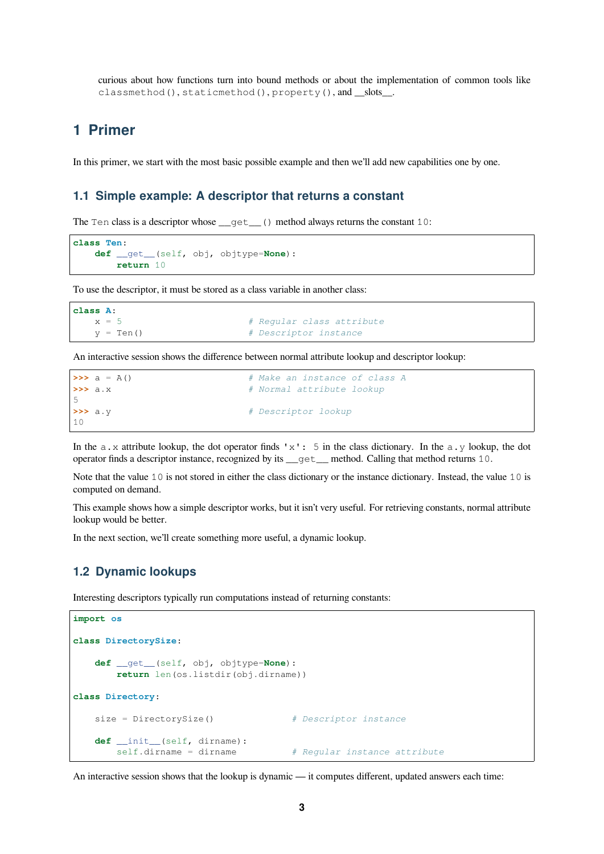curious about how functions turn into bound methods or about the implementation of common tools like classmethod(), staticmethod(), property(), and slots.

## <span id="page-2-0"></span>**1 Primer**

In this primer, we start with the most basic possible example and then we'll add new capabilities one by one.

#### <span id="page-2-1"></span>**1.1 Simple example: A descriptor that returns a constant**

The Ten class is a descriptor whose  ${\underline{\hspace{1mm}--}}$  () method always returns the constant 10:

```
class Ten:
    def __get__(self, obj, objtype=None):
       return 10
```
To use the descriptor, it must be stored as a class variable in another class:

```
class A:
  x = 5 # Regular class attribute
  y = Ten() # Descriptor instance
```
An interactive session shows the difference between normal attribute lookup and descriptor lookup:

| $\Rightarrow \Rightarrow a = A()$ | # Make an instance of class A |
|-----------------------------------|-------------------------------|
| $\rightarrow \rightarrow$ a.x     | # Normal attribute lookup     |
| 5.                                |                               |
| $\rightarrow \rightarrow$ a.y     | # Descriptor lookup           |
| 10                                |                               |

In the a.x attribute lookup, the dot operator finds 'x': 5 in the class dictionary. In the a.y lookup, the dot operator finds a descriptor instance, recognized by its \_\_get\_\_ method. Calling that method returns 10.

Note that the value 10 is not stored in either the class dictionary or the instance dictionary. Instead, the value 10 is computed on demand.

This example shows how a simple descriptor works, but it isn't very useful. For retrieving constants, normal attribute lookup would be better.

In the next section, we'll create something more useful, a dynamic lookup.

#### <span id="page-2-2"></span>**1.2 Dynamic lookups**

Interesting descriptors typically run computations instead of returning constants:

```
import os
class DirectorySize:
   def __get__(self, obj, objtype=None):
       return len(os.listdir(obj.dirname))
class Directory:
   size = DirectorySize() # Descriptor instance
   def __init__(self, dirname):
       self.dirname = dirname # Regular instance attribute
```
An interactive session shows that the lookup is dynamic — it computes different, updated answers each time: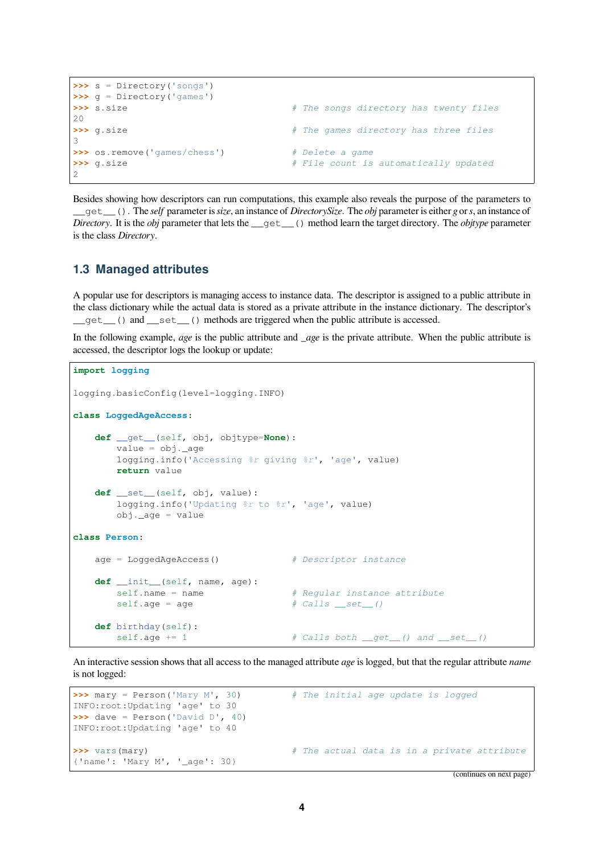```
>>> s = Directory('songs')
>>> g = Directory('games')
>>> s.size # The songs directory has twenty files
20
>>> g.size # The games directory has three files
3
>>> os.remove('games/chess') # Delete a game
>>> g.size # File count is automatically updated
\overline{2}
```
Besides showing how descriptors can run computations, this example also reveals the purpose of the parameters to \_\_get\_\_(). The *self* parameter is*size*, an instance of *DirectorySize*. The *obj* parameter is either *g* or*s*, an instance of *Directory*. It is the *obj* parameter that lets the \_\_get\_\_() method learn the target directory. The *objtype* parameter is the class *Directory*.

#### <span id="page-3-0"></span>**1.3 Managed attributes**

A popular use for descriptors is managing access to instance data. The descriptor is assigned to a public attribute in the class dictionary while the actual data is stored as a private attribute in the instance dictionary. The descriptor's \_\_get\_\_() and \_\_set\_\_() methods are triggered when the public attribute is accessed.

In the following example, *age* is the public attribute and *age* is the private attribute. When the public attribute is accessed, the descriptor logs the lookup or update:

```
import logging
logging.basicConfig(level=logging.INFO)
class LoggedAgeAccess:
   def __get__(self, obj, objtype=None):
       value = obj._{age}logging.info('Accessing %r giving %r', 'age', value)
       return value
   def __set__(self, obj, value):
       logging.info('Updating %r to %r', 'age', value)
       obj._aqe = valueclass Person:
   age = LoggedAgeAccess() # Descriptor instance
   def __init__(self, name, age):
       self.name = name # Regular instance attribute
       self.age = age \# Calls __set_()
   def birthday(self):
       self. age += 1 \# Calls both __get_() and __set_()
```
An interactive session shows that all access to the managed attribute *age* is logged, but that the regular attribute *name* is not logged:

```
>>> mary = Person('Mary M', 30) # The initial age update is logged
INFO:root:Updating 'age' to 30
>>> dave = Person('David D', 40)
INFO:root:Updating 'age' to 40
>>> vars(mary) # The actual data is in a private attribute
{'name': 'Mary M', '_age': 30}
```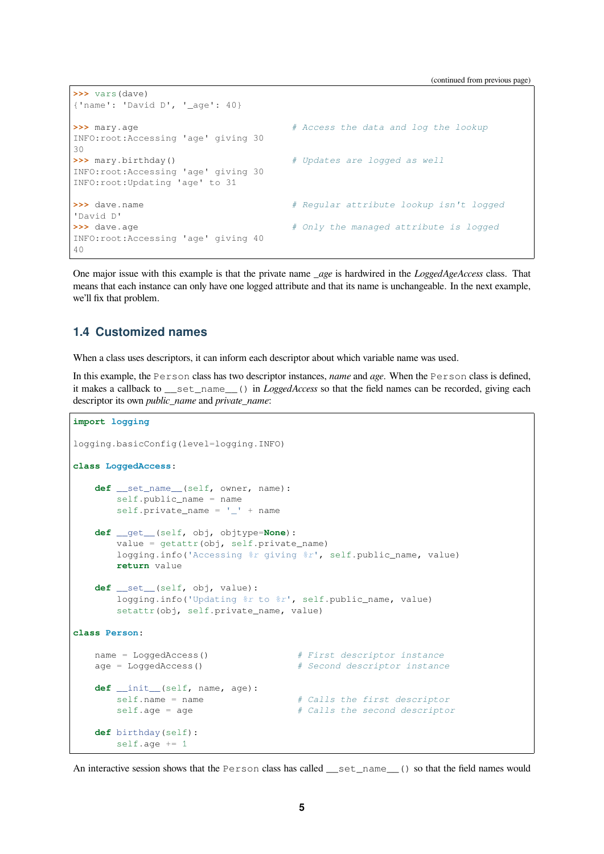```
>>> vars(dave)
{'name': 'David D', '_age': 40}
>>> mary.age # Access the data and log the lookup
INFO:root:Accessing 'age' giving 30
30
>>> mary.birthday() # Updates are logged as well
INFO:root:Accessing 'age' giving 30
INFO:root:Updating 'age' to 31
>>> dave.name # Regular attribute lookup isn't logged
'David D'
>>> dave.age # Only the managed attribute is logged
INFO:root:Accessing 'age' giving 40
40
```
One major issue with this example is that the private name *age* is hardwired in the *LoggedAgeAccess* class. That means that each instance can only have one logged attribute and that its name is unchangeable. In the next example, we'll fix that problem.

#### <span id="page-4-0"></span>**1.4 Customized names**

When a class uses descriptors, it can inform each descriptor about which variable name was used.

In this example, the Person class has two descriptor instances, *name* and *age*. When the Person class is defined, it makes a callback to \_\_set\_name\_\_() in *LoggedAccess* so that the field names can be recorded, giving each descriptor its own *public\_name* and *private\_name*:

```
import logging
logging.basicConfig(level=logging.INFO)
class LoggedAccess:
   def __set_name__(self, owner, name):
       self.public_name = name
       self.private_name = '_' + name
   def __get__(self, obj, objtype=None):
       value = getattr(obj, self.private_name)
       logging.info('Accessing %r giving %r', self.public_name, value)
       return value
   def __set__(self, obj, value):
       logging.info('Updating %r to %r', self.public_name, value)
       setattr(obj, self.private_name, value)
class Person:
   name = LoggedAccess() # First descriptor instance
   age = LoggedAccess() # Second descriptor instance
   def __init__(self, name, age):
       self.name = name # Calls the first descriptor
       self.age = age # Calls the second descriptor
   def birthday(self):
       self.age += 1
```
An interactive session shows that the Person class has called \_\_set\_name\_\_() so that the field names would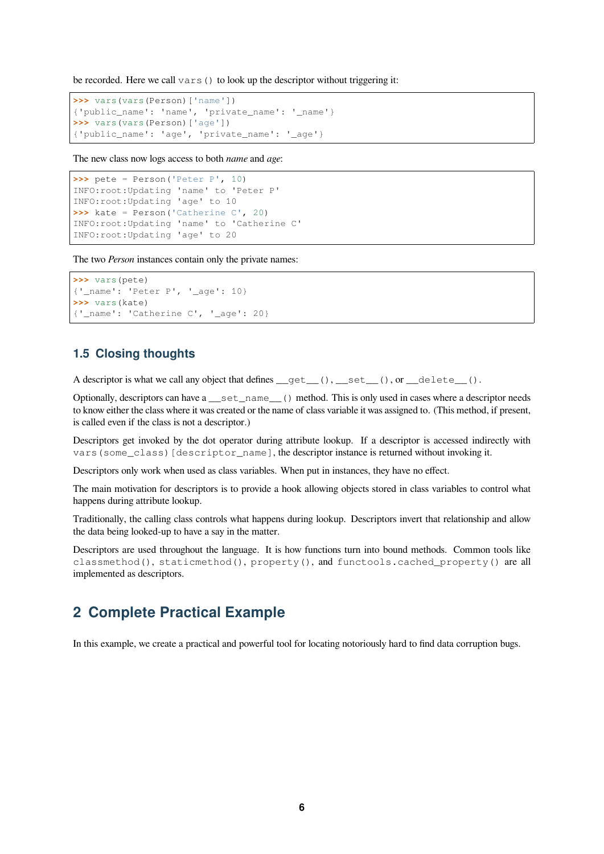be recorded. Here we call vars() to look up the descriptor without triggering it:

```
>>> vars(vars(Person)['name'])
{'public_name': 'name', 'private_name': '_name'}
>>> vars(vars(Person)['age'])
{'public_name': 'age', 'private_name': '_age'}
```
The new class now logs access to both *name* and *age*:

```
>>> pete = Person('Peter P', 10)
INFO:root:Updating 'name' to 'Peter P'
INFO:root:Updating 'age' to 10
>>> kate = Person('Catherine C', 20)
INFO:root:Updating 'name' to 'Catherine C'
INFO:root:Updating 'age' to 20
```
The two *Person* instances contain only the private names:

```
>>> vars(pete)
{'_name': 'Peter P', '_age': 10}
>>> vars(kate)
{'_name': 'Catherine C', '_age': 20}
```
#### <span id="page-5-0"></span>**1.5 Closing thoughts**

A descriptor is what we call any object that defines  $\text{\_get\_}()$ ,  $\text{\_set\_}()$ , or  $\text{\_delete\_}()$ .

Optionally, descriptors can have a \_\_set\_name\_\_() method. This is only used in cases where a descriptor needs to know either the class where it was created or the name of class variable it was assigned to. (This method, if present, is called even if the class is not a descriptor.)

Descriptors get invoked by the dot operator during attribute lookup. If a descriptor is accessed indirectly with vars (some class) [descriptor name], the descriptor instance is returned without invoking it.

Descriptors only work when used as class variables. When put in instances, they have no effect.

The main motivation for descriptors is to provide a hook allowing objects stored in class variables to control what happens during attribute lookup.

Traditionally, the calling class controls what happens during lookup. Descriptors invert that relationship and allow the data being looked-up to have a say in the matter.

Descriptors are used throughout the language. It is how functions turn into bound methods. Common tools like classmethod(), staticmethod(), property(), and functools.cached\_property() are all implemented as descriptors.

### <span id="page-5-1"></span>**2 Complete Practical Example**

In this example, we create a practical and powerful tool for locating notoriously hard to find data corruption bugs.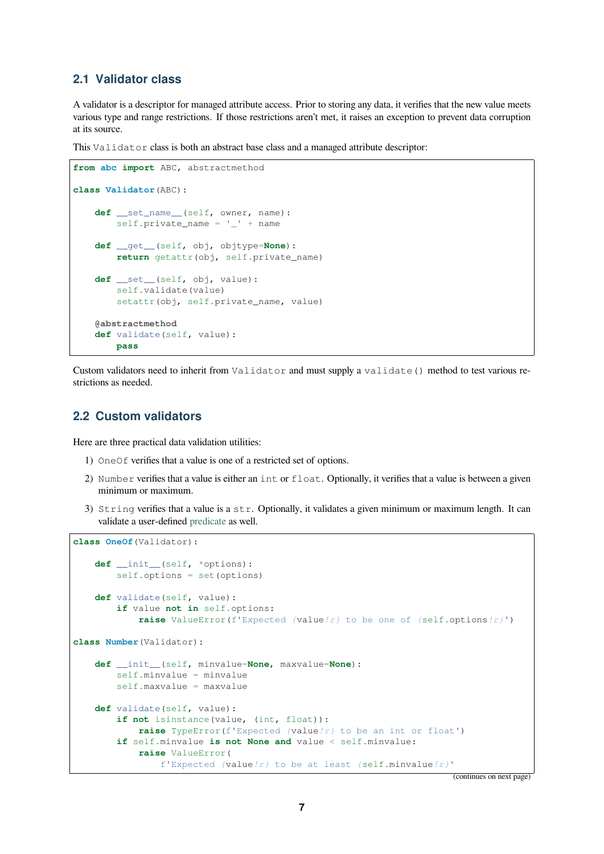#### **2.1 Validator class**

A validator is a descriptor for managed attribute access. Prior to storing any data, it verifies that the new value meets various type and range restrictions. If those restrictions aren't met, it raises an exception to prevent data corruption at its source.

<span id="page-6-0"></span>This Validator class is both an abstract base class and a managed attribute descriptor:

```
from abc import ABC, abstractmethod
class Validator(ABC):
    def __set_name__(self, owner, name):
        self.private_name = '_' + name
    def __get__(self, obj, objtype=None):
        return getattr(obj, self.private_name)
    def __set__(self, obj, value):
        self.validate(value)
        setattr(obj, self.private_name, value)
    @abstractmethod
    def validate(self, value):
        pass
```
Custom validators need to inherit from Validator and must supply a validate() method to test various restrictions as needed.

#### **2.2 Custom validators**

Here are three practical data validation utilities:

- <span id="page-6-1"></span>1) OneOf verifies that a value is one of a restricted set of options.
- 2) Number verifies that a value is either an int or float. Optionally, it verifies that a value is between a given minimum or maximum.
- 3) String verifies that a value is a str. Optionally, it validates a given minimum or maximum length. It can validate a user-defined predicate as well.

```
class OneOf(Validator):
    def __init__(self, *options):
        self.options = set(options)
   def validate(self, value):
        if value not in self.options:
            raise ValueError(f'Expected {value!r} to be one of {self.options!r}')
class Number(Validator):
    def __init__(self, minvalue=None, maxvalue=None):
        self.minvalue = minvalue
        self.maxvalue = maxvalue
   def validate(self, value):
        if not isinstance(value, (int, float)):
            raise TypeError(f'Expected {value!r} to be an int or float')
        if self.minvalue is not None and value < self.minvalue:
            raise ValueError(
                f'Expected {value!r} to be at least {self.minvalue!r}'
```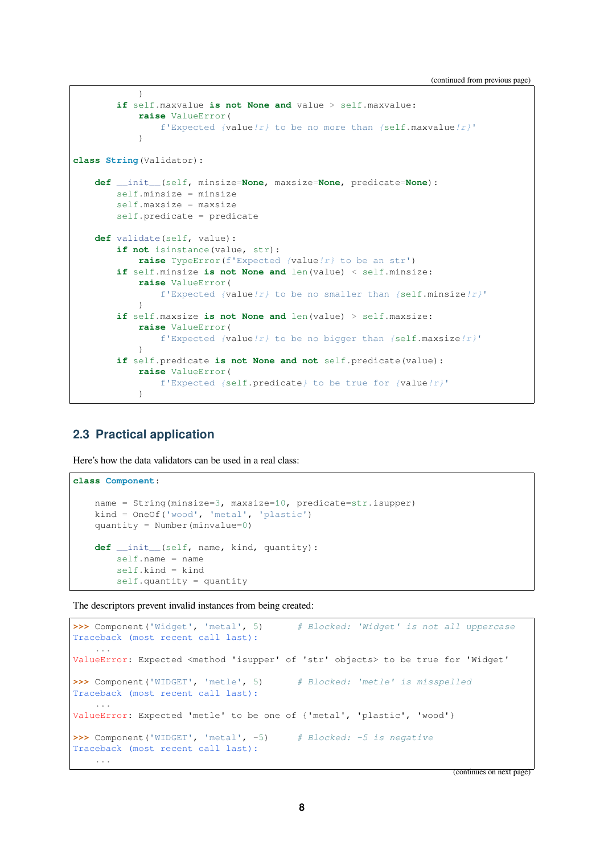(continued from previous page)

```
)
        if self.maxvalue is not None and value > self.maxvalue:
           raise ValueError(
               f'Expected {value!r} to be no more than {self.maxvalue!r}'
            \lambdaclass String(Validator):
    def __init__(self, minsize=None, maxsize=None, predicate=None):
        self.minsize = minsize
        self.maxsize = maxsize
        self.predicate = predicate
   def validate(self, value):
        if not isinstance(value, str):
           raise TypeError(f'Expected {value!r} to be an str')
        if self.minsize is not None and len(value) < self.minsize:
            raise ValueError(
                f'Expected {value!r} to be no smaller than {self.minsize!r}'
           )
        if self.maxsize is not None and len(value) > self.maxsize:
            raise ValueError(
                f'Expected {value!r} to be no bigger than {self.maxsize!r}'
            )
        if self.predicate is not None and not self.predicate(value):
            raise ValueError(
                f'Expected {self.predicate} to be true for {value!r}'
            )
```
#### <span id="page-7-0"></span>**2.3 Practical application**

Here's how the data validators can be used in a real class:

```
class Component:
    name = String(minsize=3, maxsize=10, predicate=str.isupper)
   kind = OneOf('wood', 'metal', 'plastic')
   quantity = Number(minvalue=0)
   def __init__(self, name, kind, quantity):
        self.name = name
        self.kind = kind
        self.quantity = quantity
```
The descriptors prevent invalid instances from being created:

```
>>> Component('Widget', 'metal', 5) # Blocked: 'Widget' is not all uppercase
Traceback (most recent call last):
    ...
ValueError: Expected <method 'isupper' of 'str' objects> to be true for 'Widget'
>>> Component('WIDGET', 'metle', 5) # Blocked: 'metle' is misspelled
Traceback (most recent call last):
    ...
ValueError: Expected 'metle' to be one of {'metal', 'plastic', 'wood'}
>>> Component('WIDGET', 'metal', -5) # Blocked: -5 is negative
Traceback (most recent call last):
   ...
```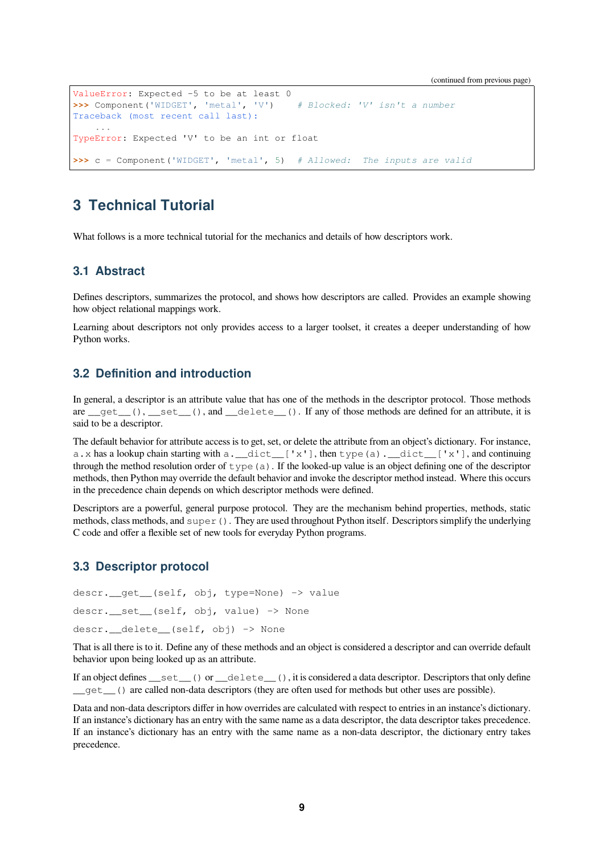```
ValueError: Expected -5 to be at least 0
>>> Component('WIDGET', 'metal', 'V') # Blocked: 'V' isn't a number
Traceback (most recent call last):
    ...
TypeError: Expected 'V' to be an int or float
>>> c = Component('WIDGET', 'metal', 5) # Allowed: The inputs are valid
```
# <span id="page-8-0"></span>**3 Technical Tutorial**

What follows is a more technical tutorial for the mechanics and details of how descriptors work.

#### <span id="page-8-1"></span>**3.1 Abstract**

Defines descriptors, summarizes the protocol, and shows how descriptors are called. Provides an example showing how object relational mappings work.

Learning about descriptors not only provides access to a larger toolset, it creates a deeper understanding of how Python works.

#### <span id="page-8-2"></span>**3.2 Definition and introduction**

In general, a descriptor is an attribute value that has one of the methods in the descriptor protocol. Those methods are  $qet_{\text{c}}(t)$ , set  $\text{c}(t)$ , and  $q$  delete  $\text{c}(t)$ . If any of those methods are defined for an attribute, it is said to be a descriptor.

The default behavior for attribute access is to get, set, or delete the attribute from an object's dictionary. For instance, a.x has a lookup chain starting with a. \_\_dict\_\_['x'], then type(a). \_\_dict\_\_['x'], and continuing through the method resolution order of  $type(a)$ . If the looked-up value is an object defining one of the descriptor methods, then Python may override the default behavior and invoke the descriptor method instead. Where this occurs in the precedence chain depends on which descriptor methods were defined.

Descriptors are a powerful, general purpose protocol. They are the mechanism behind properties, methods, static methods, class methods, and  $\text{super}(.)$ . They are used throughout Python itself. Descriptors simplify the underlying C code and offer a flexible set of new tools for everyday Python programs.

#### <span id="page-8-3"></span>**3.3 Descriptor protocol**

```
descr.__get__(self, obj, type=None) -> value
descr.__set__(self, obj, value) -> None
descr. delete (self, obj) -> None
```
That is all there is to it. Define any of these methods and an object is considered a descriptor and can override default behavior upon being looked up as an attribute.

If an object defines \_\_set\_() or \_delete\_(), it is considered a data descriptor. Descriptors that only define \_\_get\_\_() are called non-data descriptors (they are often used for methods but other uses are possible).

Data and non-data descriptors differ in how overrides are calculated with respect to entries in an instance's dictionary. If an instance's dictionary has an entry with the same name as a data descriptor, the data descriptor takes precedence. If an instance's dictionary has an entry with the same name as a non-data descriptor, the dictionary entry takes precedence.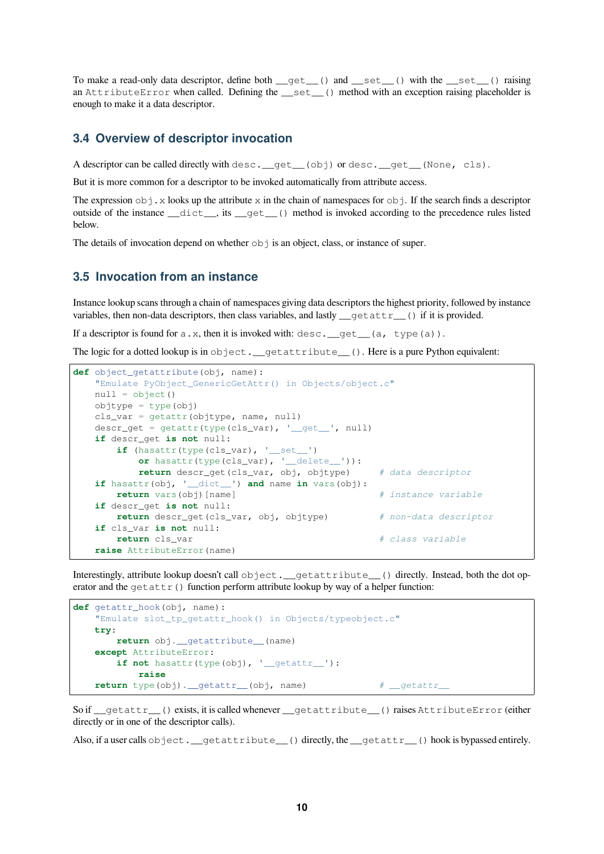To make a read-only data descriptor, define both \_\_get\_\_() and \_\_set\_\_() with the \_\_set\_\_() raising an AttributeError when called. Defining the \_\_set\_\_() method with an exception raising placeholder is enough to make it a data descriptor.

#### <span id="page-9-0"></span>**3.4 Overview of descriptor invocation**

A descriptor can be called directly with desc.  $qet_0$  obj) or desc.  $qet_0$  (None, cls).

But it is more common for a descriptor to be invoked automatically from attribute access.

The expression  $\circ$ b j. x looks up the attribute x in the chain of namespaces for  $\circ$ b j. If the search finds a descriptor outside of the instance \_\_dict\_\_, its \_\_get\_\_() method is invoked according to the precedence rules listed below.

The details of invocation depend on whether  $\circ$ b is an object, class, or instance of super.

#### <span id="page-9-1"></span>**3.5 Invocation from an instance**

Instance lookup scans through a chain of namespaces giving data descriptors the highest priority, followed by instance variables, then non-data descriptors, then class variables, and lastly \_\_getattr\_\_() if it is provided.

If a descriptor is found for  $a.x$ , then it is invoked with:  $desc.$  get \_\_(a, type(a)).

The logic for a dotted lookup is in object. getattribute (). Here is a pure Python equivalent:

```
def object_getattribute(obj, name):
   "Emulate PyObject_GenericGetAttr() in Objects/object.c"
   null = object()objtype = type(obj)cls_var = getattr(objtype, name, null)
   descr\_get = getattr(type(cls\_var), '__get__', null)if descr_get is not null:
       if (hasattr(type(cls_var), '__set__')
          or hasattr(type(cls_var), '__delete__')):
          return descr_get(cls_var, obj, objtype) # data descriptor
   if hasattr(obj, '__dict__') and name in vars(obj):
       return vars(obj)[name] # instance variable
   if descr_get is not null:
       return descr_get(cls_var, obj, objtype) # non-data descriptor
   if cls_var is not null:
       return cls_var # class variable
   raise AttributeError(name)
```
Interestingly, attribute lookup doesn't call object.\_\_getattribute\_\_() directly. Instead, both the dot operator and the  $q$ etattr() function perform attribute lookup by way of a helper function:

```
def getattr_hook(obj, name):
    "Emulate slot_tp_getattr_hook() in Objects/typeobject.c"
   try:
       return obj. getattribute (name)
   except AttributeError:
       if not hasattr(type(obj), '__getattr__'):
           raise
   return type(obj).__getattr__(obj, name) # __getattr__
```
So if \_\_getattr\_\_() exists, it is called whenever \_\_getattribute\_\_() raises AttributeError (either directly or in one of the descriptor calls).

Also, if a user calls object. \_\_getattribute\_() directly, the \_\_getattr\_\_() hook is bypassed entirely.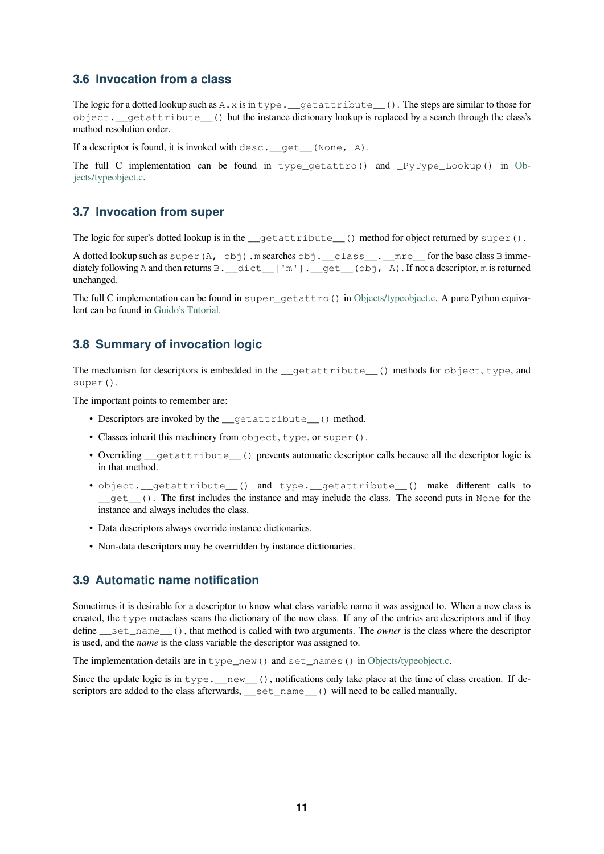#### **3.6 Invocation from a class**

The logic for a dotted lookup such as  $A \cdot x$  is in type. \_getattribute\_\_(). The steps are similar to those for object.\_\_getattribute\_\_() but the instance dictionary lookup is replaced by a search through the class's method resolution order.

<span id="page-10-0"></span>If a descriptor is found, it is invoked with  $\text{desc.}$  qet (None, A).

The full C implementation can be found in type  $q$  etattro() and  $PvType$  Lookup() in Objects/typeobject.c.

#### **3.7 Invocation from super**

[The logic for supe](https://github.com/python/cpython/tree/3.10/Objects/typeobject.c)r's dotted lookup is in the  $q$ etattribute () method for object returned by super().

<span id="page-10-1"></span>A dotted lookup such as super $(A, obj)$ .m searches  $obj$ . \_class\_.mro\_for the base class B immediately following A and then returns B. \_\_dict\_\_['m']. \_get\_\_(obj, A). If not a descriptor, m is returned unchanged.

The full C implementation can be found in super\_getattro() in Objects/typeobject.c. A pure Python equivalent can be found in Guido's Tutorial.

#### **3.8 Summary of invocation logic**

<span id="page-10-2"></span>The mechanism for [descriptors is em](https://www.python.org/download/releases/2.2.3/descrintro/#cooperation)bedded in the \_getattribute\_() methods for object, type, and super().

The important points to remember are:

- Descriptors are invoked by the \_\_getattribute\_() method.
- Classes inherit this machinery from object, type, or super().
- Overriding \_\_getattribute\_\_() prevents automatic descriptor calls because all the descriptor logic is in that method.
- object.\_\_getattribute\_\_() and type.\_\_getattribute\_\_() make different calls to  $g$ get  $($ ). The first includes the instance and may include the class. The second puts in None for the instance and always includes the class.
- Data descriptors always override instance dictionaries.
- Non-data descriptors may be overridden by instance dictionaries.

#### **3.9 Automatic name notification**

<span id="page-10-3"></span>Sometimes it is desirable for a descriptor to know what class variable name it was assigned to. When a new class is created, the type metaclass scans the dictionary of the new class. If any of the entries are descriptors and if they define \_\_set\_name\_\_(), that method is called with two arguments. The *owner* is the class where the descriptor is used, and the *name* is the class variable the descriptor was assigned to.

The implementation details are in type  $new()$  and set names() in Objects/typeobject.c.

Since the update logic is in  $type.$   $_new_()$ , notifications only take place at the time of class creation. If descriptors are added to the class afterwards, \_\_set\_name\_\_() will need to be called manually.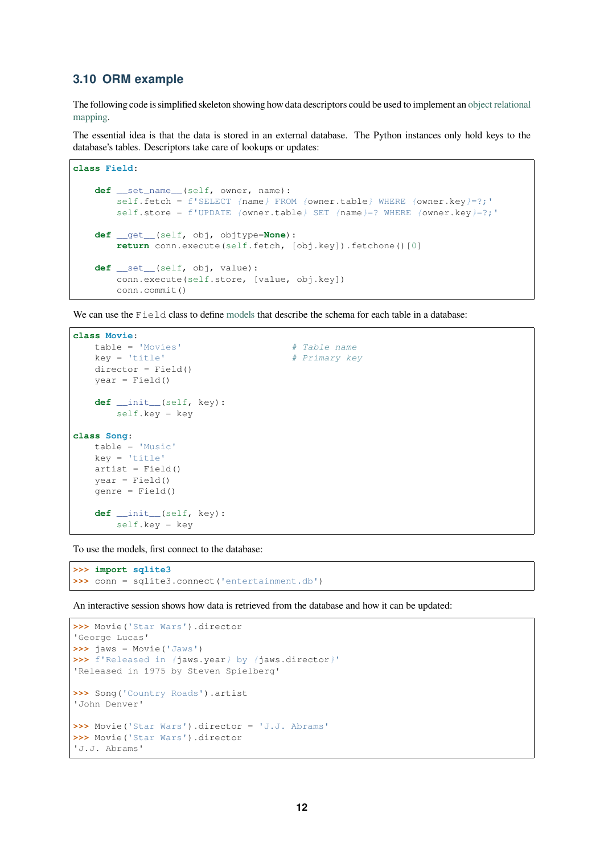#### **3.10 ORM example**

The following code is simplified skeleton showing how data descriptors could be used to implement an object relational mapping.

<span id="page-11-0"></span>The essential idea is that the data is stored in an external database. The Python instances only hold keys to the database's tables. Descriptors take care of lookups or updates:

```
class Field:
   def __set_name__(self, owner, name):
       self.fetch = f'SELECT {name} FROM {owner.table} WHERE {owner.key}=?;'
       self.store = f'UPDATE {owner.table} SET {name}=? WHERE {owner.key}=?;'
   def __get__(self, obj, objtype=None):
       return conn.execute(self.fetch, [obj.key]).fetchone()[0]
   def __set__(self, obj, value):
       conn.execute(self.store, [value, obj.key])
       conn.commit()
```
We can use the Field class to define models that describe the schema for each table in a database:

```
class Movie:
  table = 'Movies' # Table name
   key = 'title' # Primary key
   director = Field()year = Field()def __init__(self, key):
      self.key = key
class Song:
  table = 'Music'
   key = 'title'
   artist = Field()year = Field()genre = Field()
   def __init__(self, key):
      self.key = key
```
To use the models, first connect to the database:

```
>>> import sqlite3
>>> conn = sqlite3.connect('entertainment.db')
```
An interactive session shows how data is retrieved from the database and how it can be updated:

```
>>> Movie('Star Wars').director
'George Lucas'
>>> jaws = Movie('Jaws')
>>> f'Released in {jaws.year} by {jaws.director}'
'Released in 1975 by Steven Spielberg'
>>> Song('Country Roads').artist
'John Denver'
>>> Movie('Star Wars').director = 'J.J. Abrams'
>>> Movie('Star Wars').director
'J.J. Abrams'
```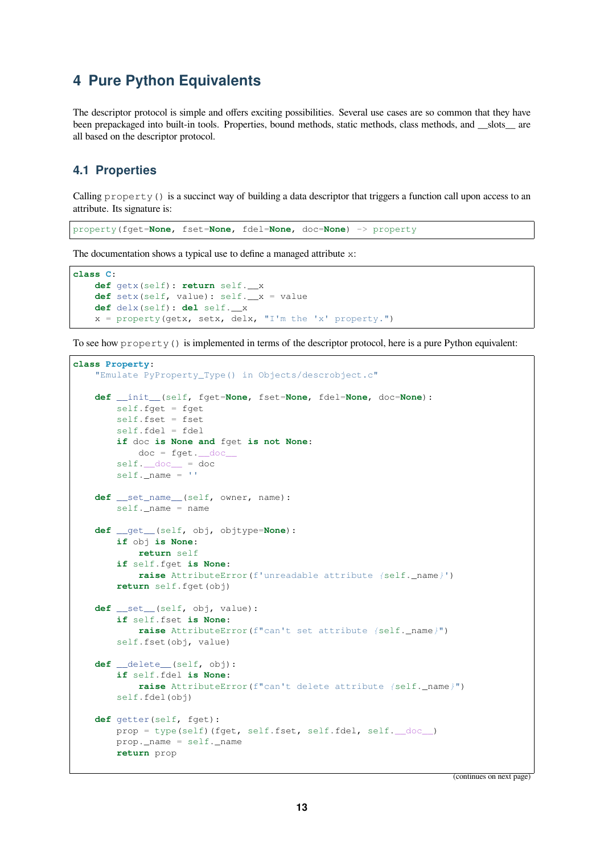## <span id="page-12-0"></span>**4 Pure Python Equivalents**

The descriptor protocol is simple and offers exciting possibilities. Several use cases are so common that they have been prepackaged into built-in tools. Properties, bound methods, static methods, class methods, and \_\_slots\_\_ are all based on the descriptor protocol.

#### <span id="page-12-1"></span>**4.1 Properties**

Calling property() is a succinct way of building a data descriptor that triggers a function call upon access to an attribute. Its signature is:

```
property(fget=None, fset=None, fdel=None, doc=None) -> property
```
The documentation shows a typical use to define a managed attribute x:

```
class C:
   def getx(self): return self.__x
    def setx(self, value): self.__x = value
    def delx(self): del self.__x
    x = property(qetx, setx, delx, "I'm the 'x' property."
```
To see how property() is implemented in terms of the descriptor protocol, here is a pure Python equivalent:

```
class Property:
   "Emulate PyProperty_Type() in Objects/descrobject.c"
   def __init__(self, fget=None, fset=None, fdel=None, doc=None):
       self.fget = fget
       self.fset = fset
       self.fdel = fdel
       if doc is None and fget is not None:
           doc = fget. docself.__doc__ = docself.__name = ''def __set_name__(self, owner, name):
        self.__name = namedef __get__(self, obj, objtype=None):
       if obj is None:
           return self
        if self.fget is None:
           raise AttributeError(f'unreadable attribute {self._name}')
       return self.fget(obj)
   def __set__(self, obj, value):
        if self.fset is None:
           raise AttributeError(f"can't set attribute {self._name}")
        self.fset(obj, value)
   def __delete__(self, obj):
       if self.fdel is None:
           raise AttributeError(f"can't delete attribute {self._name}")
       self.fdel(obj)
   def getter(self, fget):
       prop = type(self)(fget, self.fset, self.fdel, self.__doc__)
       prop._name = self._name
       return prop
```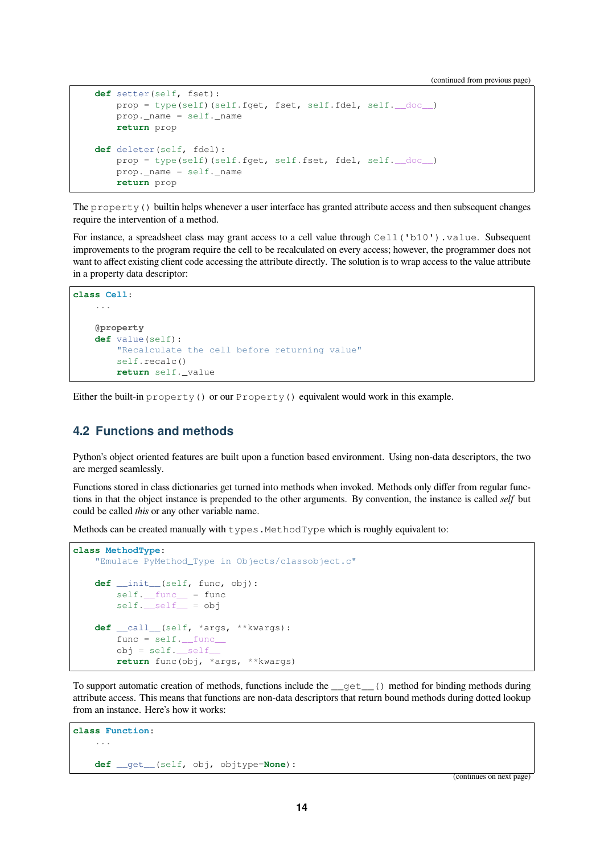(continued from previous page)

```
def setter(self, fset):
   prop = type(self)(self.fget, fset, self.fdel, self.__doc__)
   prop._name = self._name
   return prop
def deleter(self, fdel):
   prop = type(self)(self.fget, self.fset, fdel, self.__doc__)
   prop._name = self._name
   return prop
```
The property() builtin helps whenever a user interface has granted attribute access and then subsequent changes require the intervention of a method.

For instance, a spreadsheet class may grant access to a cell value through Cell ('b10'). value. Subsequent improvements to the program require the cell to be recalculated on every access; however, the programmer does not want to affect existing client code accessing the attribute directly. The solution is to wrap access to the value attribute in a property data descriptor:

```
class Cell:
    ...
    @property
    def value(self):
        "Recalculate the cell before returning value"
       self.recalc()
       return self._value
```
Either the built-in property() or our Property() equivalent would work in this example.

#### <span id="page-13-0"></span>**4.2 Functions and methods**

Python's object oriented features are built upon a function based environment. Using non-data descriptors, the two are merged seamlessly.

Functions stored in class dictionaries get turned into methods when invoked. Methods only differ from regular functions in that the object instance is prepended to the other arguments. By convention, the instance is called *self* but could be called *this* or any other variable name.

Methods can be created manually with  $t$ ypes. MethodType which is roughly equivalent to:

```
class MethodType:
    "Emulate PyMethod_Type in Objects/classobject.c"
    def __init__(self, func, obj):
       self.__func__ = funcself. self. = objdef __call__(self, *args, **kwargs):
       func = self.__func__obj = self.__self__return func(obj, *args, **kwargs)
```
To support automatic creation of methods, functions include the  $qet$  () method for binding methods during attribute access. This means that functions are non-data descriptors that return bound methods during dotted lookup from an instance. Here's how it works:

```
class Function:
    ...
    def __get__(self, obj, objtype=None):
```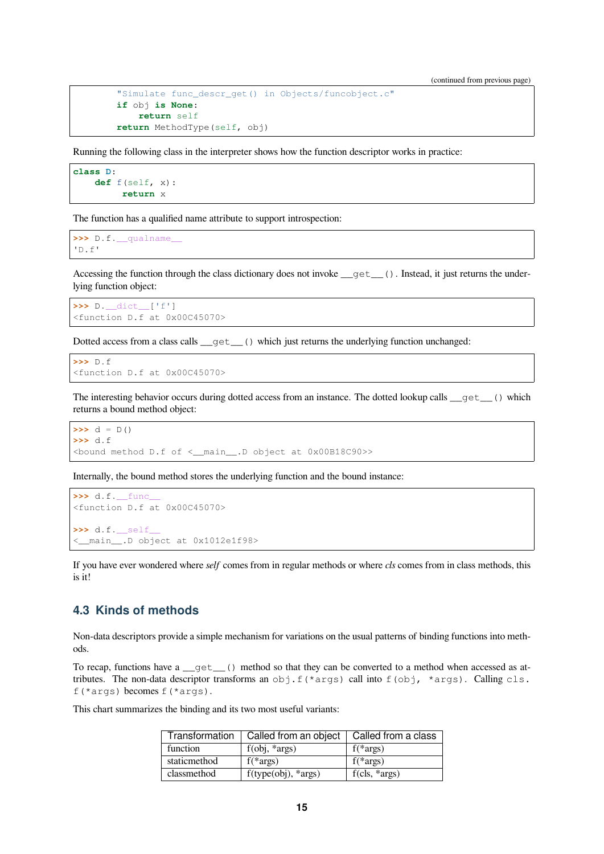```
"Simulate func_descr_get() in Objects/funcobject.c"
if obj is None:
   return self
return MethodType(self, obj)
```
Running the following class in the interpreter shows how the function descriptor works in practice:

```
class D:
    def f(self, x):
         return x
```
The function has a qualified name attribute to support introspection:

```
>>> D.f.__qualname__
'D.f'
```
Accessing the function through the class dictionary does not invoke  $\_\text{get}\_\text{()}$ . Instead, it just returns the underlying function object:

```
>>> D.__dict__['f']
<function D.f at 0x00C45070>
```
Dotted access from a class calls \_get\_() which just returns the underlying function unchanged:

```
>>> D.f
<function D.f at 0x00C45070>
```
The interesting behavior occurs during dotted access from an instance. The dotted lookup calls \_\_get\_\_() which returns a bound method object:

```
\Rightarrow d = D()
>>> d.f
<bound method D.f of <__main__.D object at 0x00B18C90>>
```
Internally, the bound method stores the underlying function and the bound instance:

```
>>> d.f.__func__
<function D.f at 0x00C45070>
>>> d.f.__self__
<__main__.D object at 0x1012e1f98>
```
If you have ever wondered where *self* comes from in regular methods or where *cls* comes from in class methods, this is it!

#### <span id="page-14-0"></span>**4.3 Kinds of methods**

Non-data descriptors provide a simple mechanism for variations on the usual patterns of binding functions into methods.

To recap, functions have a \_get\_() method so that they can be converted to a method when accessed as attributes. The non-data descriptor transforms an obj.f(\*args) call into  $f$ (obj, \*args). Calling cls. f(\*args) becomes  $f(*args)$ .

This chart summarizes the binding and its two most useful variants:

| Transformation | Called from an object             | Called from a class |
|----------------|-----------------------------------|---------------------|
| function       | $f(obj, *args)$                   | $f(*args)$          |
| staticmethod   | $f(*args)$                        | $f(*args)$          |
| classmethod    | $f(type(obj), \cdot \text{args})$ | $f(cls, *args)$     |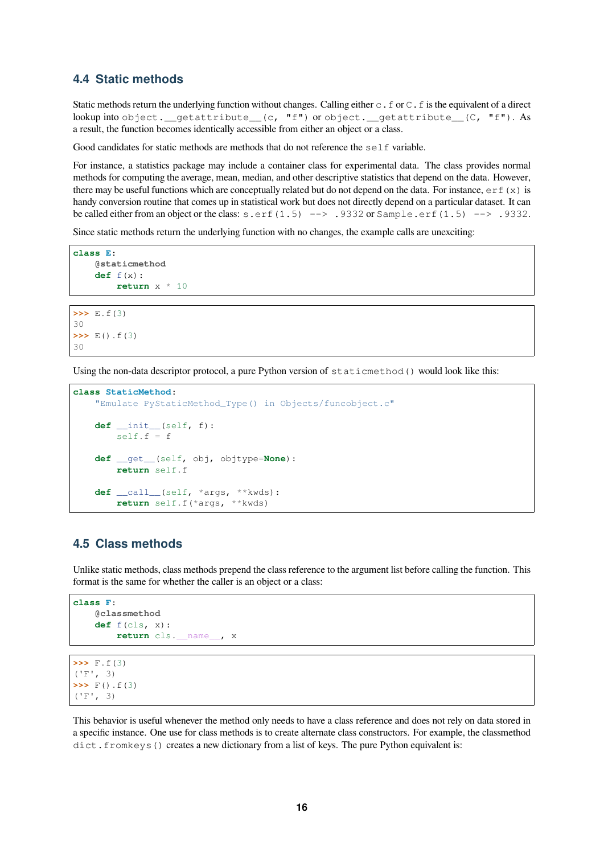#### **4.4 Static methods**

Static methods return the underlying function without changes. Calling either  $c \cdot f$  or  $c \cdot f$  is the equivalent of a direct lookup into object. getattribute\_(c, "f") or object. getattribute\_(C, "f"). As a result, the function becomes identically accessible from either an object or a class.

Good candidates for static methods are methods that do not reference the  $\text{self}$  variable.

For instance, a statistics package may include a container class for experimental data. The class provides normal methods for computing the average, mean, median, and other descriptive statistics that depend on the data. However, there may be useful functions which are conceptually related but do not depend on the data. For instance,  $er f(x)$  is handy conversion routine that comes up in statistical work but does not directly depend on a particular dataset. It can be called either from an object or the class: s.erf(1.5) --> .9332 or Sample.erf(1.5) --> .9332.

Since static methods return the underlying function with no changes, the example calls are unexciting:

```
class E:
    @staticmethod
    def f(x):
        return x * 10
```

```
>>> E.f(3)
30
>>> E().f(3)
30
```
Using the non-data descriptor protocol, a pure Python version of staticmethod() would look like this:

```
class StaticMethod:
   "Emulate PyStaticMethod_Type() in Objects/funcobject.c"
   def __init__(self, f):
       self.f = fdef __get__(self, obj, objtype=None):
       return self.f
   def __call__(self, *args, **kwds):
       return self.f(*args, **kwds)
```
#### <span id="page-15-0"></span>**4.5 Class methods**

Unlike static methods, class methods prepend the class reference to the argument list before calling the function. This format is the same for whether the caller is an object or a class:

```
class F:
    @classmethod
   def f(cls, x):
        return cls.__name__, x
```
**>>>** F.f(3)  $(F'$ , 3) **>>>** F().f(3)  $(F'F', 3)$ 

This behavior is useful whenever the method only needs to have a class reference and does not rely on data stored in a specific instance. One use for class methods is to create alternate class constructors. For example, the classmethod dict. fromkeys() creates a new dictionary from a list of keys. The pure Python equivalent is: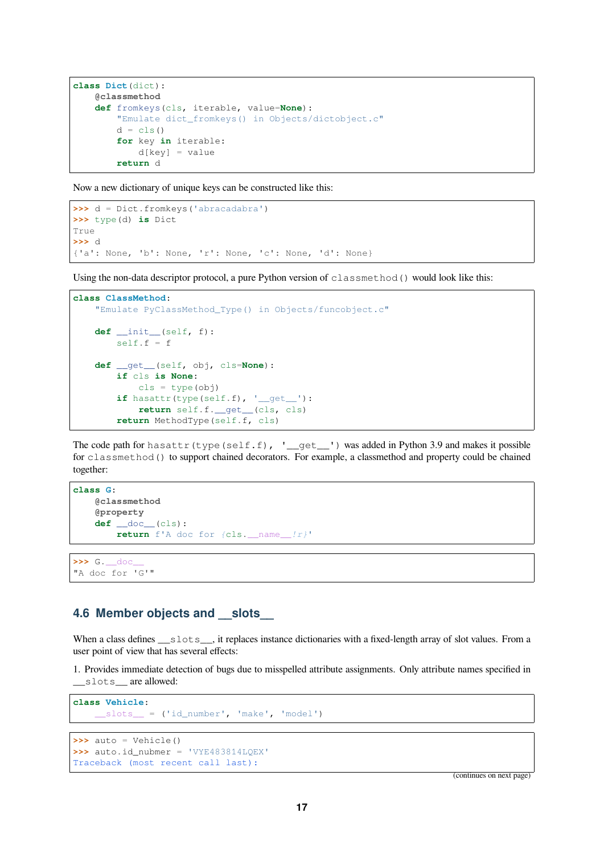```
class Dict(dict):
   @classmethod
   def fromkeys(cls, iterable, value=None):
        "Emulate dict_fromkeys() in Objects/dictobject.c"
        d = cls()for key in iterable:
           d[key] = valuereturn d
```
Now a new dictionary of unique keys can be constructed like this:

```
>>> d = Dict.fromkeys('abracadabra')
>>> type(d) is Dict
True
>>> d
{'a': None, 'b': None, 'r': None, 'c': None, 'd': None}
```
Using the non-data descriptor protocol, a pure Python version of classmethod() would look like this:

```
class ClassMethod:
   "Emulate PyClassMethod_Type() in Objects/funcobject.c"
   def __init__(self, f):
       self.f = fdef __get__(self, obj, cls=None):
       if cls is None:
           cls = type(obj)if hasattr(type(self.f), '__get__'):
           return self.f.__get__(cls, cls)
        return MethodType(self.f, cls)
```
The code path for hasattr(type(self.f), '\_\_get\_\_') was added in Python 3.9 and makes it possible for classmethod() to support chained decorators. For example, a classmethod and property could be chained together:

```
class G:
    @classmethod
    @property
    def __doc__(cls):
       return f'A doc for {cls.__name__!r}'
```
**>>>** G.\_\_doc\_\_ "A doc for 'G'"

#### <span id="page-16-0"></span>**4.6 Member objects and \_\_slots\_\_**

When a class defines \_\_slots\_, it replaces instance dictionaries with a fixed-length array of slot values. From a user point of view that has several effects:

1. Provides immediate detection of bugs due to misspelled attribute assignments. Only attribute names specified in \_slots\_\_ are allowed:

```
class Vehicle:
   __slots__ = ('id_number', 'make', 'model')
```

```
>>> auto = Vehicle()
>>> auto.id_nubmer = 'VYE483814LQEX'
Traceback (most recent call last):
```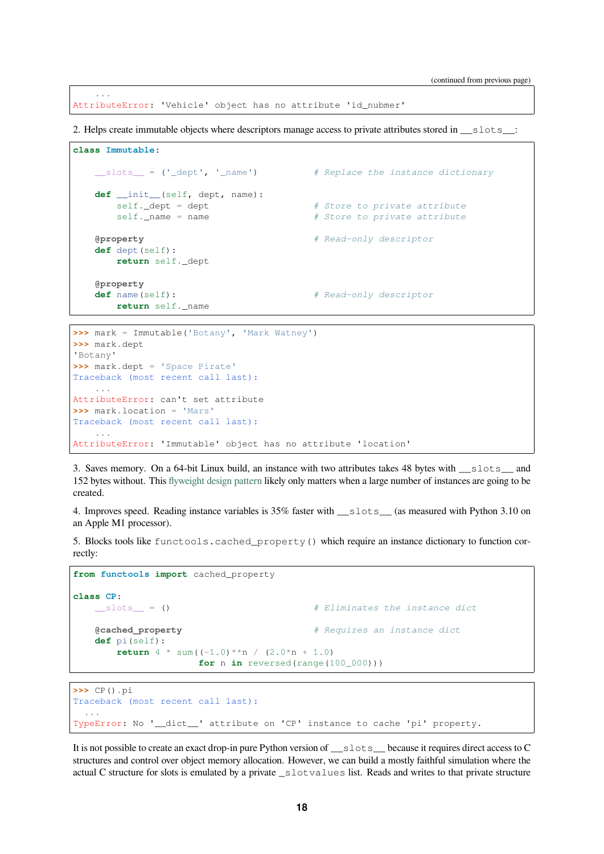AttributeError: 'Vehicle' object has no attribute 'id\_nubmer'

...

2. Helps create immutable objects where descriptors manage access to private attributes stored in \_\_slots\_\_:

```
class Immutable:
   __slots__ = ('_dept', '_name') # Replace the instance dictionary
   def __init__(self, dept, name):
      self._dept = dept # Store to private attribute
      self._name = name # Store to private attribute
   @property # Read-only descriptor
   def dept(self):
      return self._dept
   @property
   def name(self): # Read-only descriptor
      return self._name
```

```
>>> mark = Immutable('Botany', 'Mark Watney')
>>> mark.dept
'Botany'
>>> mark.dept = 'Space Pirate'
Traceback (most recent call last):
    ...
AttributeError: can't set attribute
>>> mark.location = 'Mars'
Traceback (most recent call last):
    ...
AttributeError: 'Immutable' object has no attribute 'location'
```
3. Saves memory. On a 64-bit Linux build, an instance with two attributes takes 48 bytes with \_\_slots\_\_ and 152 bytes without. This flyweight design pattern likely only matters when a large number of instances are going to be created.

4. Improves speed. Reading instance variables is 35% faster with slots (as measured with Python 3.10 on an Apple M1 processor)[.](https://en.wikipedia.org/wiki/Flyweight_pattern)

5. Blocks tools like functools.cached\_property() which require an instance dictionary to function correctly:

```
from functools import cached_property
class CP:
   __slots__ = () # Eliminates the instance dict
   @cached_property # Requires an instance dict
   def pi(self):
      return 4 * sum((-1.0) * n / (2.0 * n + 1.0)for n in reversed(range(100_000)))
```

```
>>> CP().pi
Traceback (most recent call last):
  ...
TypeError: No '__dict__' attribute on 'CP' instance to cache 'pi' property.
```
It is not possible to create an exact drop-in pure Python version of \_\_slots\_\_ because it requires direct access to C structures and control over object memory allocation. However, we can build a mostly faithful simulation where the actual C structure for slots is emulated by a private \_slotvalues list. Reads and writes to that private structure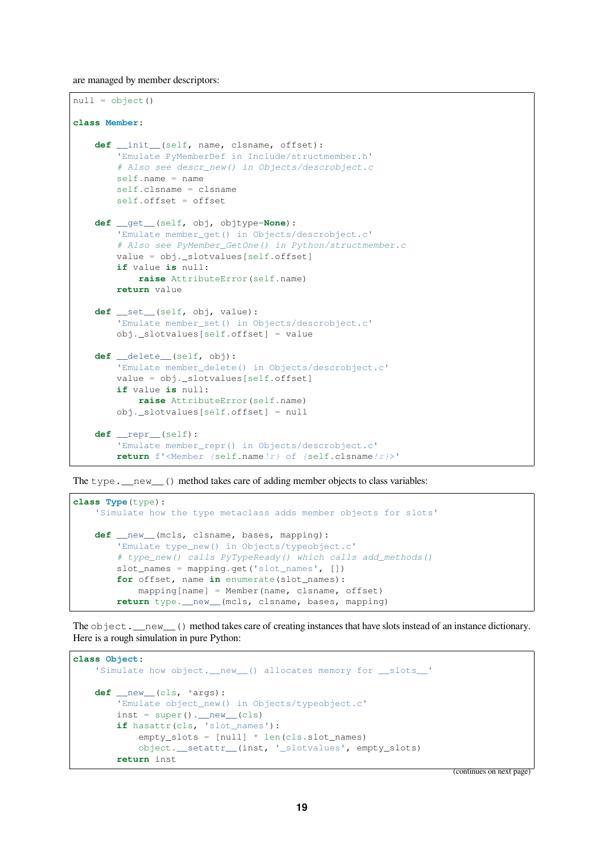are managed by member descriptors:

```
null = object()class Member:
    def __init__(self, name, clsname, offset):
        'Emulate PyMemberDef in Include/structmember.h'
        # Also see descr_new() in Objects/descrobject.c
        self.name = name
        self.clsname = clsname
        self.offset = offset
    def __get__(self, obj, objtype=None):
        'Emulate member_get() in Objects/descrobject.c'
        # Also see PyMember_GetOne() in Python/structmember.c
        value = obj._slotvalues[self.offset]
        if value is null:
            raise AttributeError(self.name)
        return value
    def __set__(self, obj, value):
        'Emulate member_set() in Objects/descrobject.c'
        obj._slotvalues[self.offset] = value
    def __delete__(self, obj):
        'Emulate member_delete() in Objects/descrobject.c'
        value = obj._slotvalues[self.offset]
        if value is null:
           raise AttributeError(self.name)
       obj._slotvalues[self.offset] = null
    def __repr__(self):
        'Emulate member_repr() in Objects/descrobject.c'
       return f'<Member {self.name!r} of {self.clsname!r}>'
```
The type. \_\_new\_\_() method takes care of adding member objects to class variables:

```
class Type(type):
    'Simulate how the type metaclass adds member objects for slots'
   def __new__(mcls, clsname, bases, mapping):
        'Emulate type_new() in Objects/typeobject.c'
        # type_new() calls PyTypeReady() which calls add_methods()
        slot_names = mapping.get('slot_names', [])
        for offset, name in enumerate(slot_names):
           mapping[name] = Member(name, clsname, offset)
       return type.__new__(mcls, clsname, bases, mapping)
```
The object. \_\_new\_\_() method takes care of creating instances that have slots instead of an instance dictionary. Here is a rough simulation in pure Python:

```
class Object:
    'Simulate how object.__new_() allocates memory for __slots_'
    def __new__(cls, *args):
        'Emulate object_new() in Objects/typeobject.c'
        inst = super() . \text{new} (cls)if hasattr(cls, 'slot_names'):
            empty_slots = [null] * len(cls.slot_names)
            object.__setattr__(inst, '_slotvalues', empty_slots)
        return inst
```